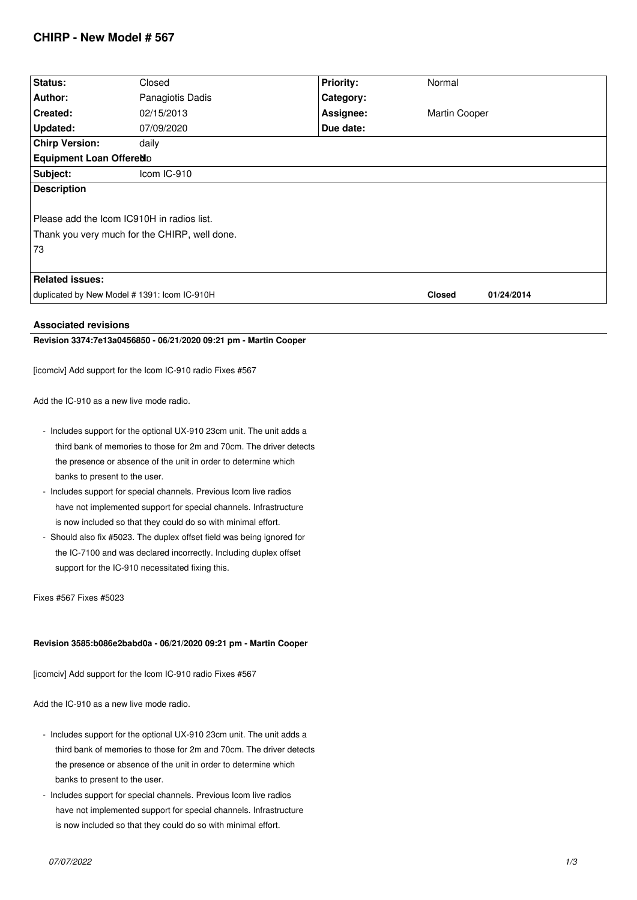# **CHIRP - New Model # 567**

| Status:                                                                |                  |                  |               |            |
|------------------------------------------------------------------------|------------------|------------------|---------------|------------|
|                                                                        | Closed           | <b>Priority:</b> | Normal        |            |
| Author:                                                                | Panagiotis Dadis | Category:        |               |            |
| Created:                                                               | 02/15/2013       | Assignee:        | Martin Cooper |            |
| Updated:                                                               | 07/09/2020       | Due date:        |               |            |
| <b>Chirp Version:</b>                                                  | daily            |                  |               |            |
| Equipment Loan Offeredo                                                |                  |                  |               |            |
| Subject:                                                               | Icom IC-910      |                  |               |            |
| <b>Description</b>                                                     |                  |                  |               |            |
| Please add the Icom IC910H in radios list.                             |                  |                  |               |            |
| Thank you very much for the CHIRP, well done.                          |                  |                  |               |            |
| 73                                                                     |                  |                  |               |            |
|                                                                        |                  |                  |               |            |
| <b>Related issues:</b>                                                 |                  |                  |               |            |
| duplicated by New Model # 1391: Icom IC-910H                           |                  |                  | <b>Closed</b> | 01/24/2014 |
|                                                                        |                  |                  |               |            |
| <b>Associated revisions</b>                                            |                  |                  |               |            |
| Revision 3374:7e13a0456850 - 06/21/2020 09:21 pm - Martin Cooper       |                  |                  |               |            |
| [icomciv] Add support for the Icom IC-910 radio Fixes #567             |                  |                  |               |            |
|                                                                        |                  |                  |               |            |
| Add the IC-910 as a new live mode radio.                               |                  |                  |               |            |
| - Includes support for the optional UX-910 23cm unit. The unit adds a  |                  |                  |               |            |
| third bank of memories to those for 2m and 70cm. The driver detects    |                  |                  |               |            |
| the presence or absence of the unit in order to determine which        |                  |                  |               |            |
| banks to present to the user.                                          |                  |                  |               |            |
| - Includes support for special channels. Previous Icom live radios     |                  |                  |               |            |
| have not implemented support for special channels. Infrastructure      |                  |                  |               |            |
| is now included so that they could do so with minimal effort.          |                  |                  |               |            |
| - Should also fix #5023. The duplex offset field was being ignored for |                  |                  |               |            |
| the IC-7100 and was declared incorrectly. Including duplex offset      |                  |                  |               |            |
| support for the IC-910 necessitated fixing this.                       |                  |                  |               |            |
|                                                                        |                  |                  |               |            |
| Fixes #567 Fixes #5023                                                 |                  |                  |               |            |
|                                                                        |                  |                  |               |            |
| Revision 3585:b086e2babd0a - 06/21/2020 09:21 pm - Martin Cooper       |                  |                  |               |            |
| [icomciv] Add support for the Icom IC-910 radio Fixes #567             |                  |                  |               |            |
| Add the IC-910 as a new live mode radio.                               |                  |                  |               |            |
| - Includes support for the optional UX-910 23cm unit. The unit adds a  |                  |                  |               |            |

- *third bank of memories to those for 2m and 70cm. The driver detects the presence or absence of the unit in order to determine which banks to present to the user.*
- *Includes support for special channels. Previous Icom live radios have not implemented support for special channels. Infrastructure is now included so that they could do so with minimal effort.*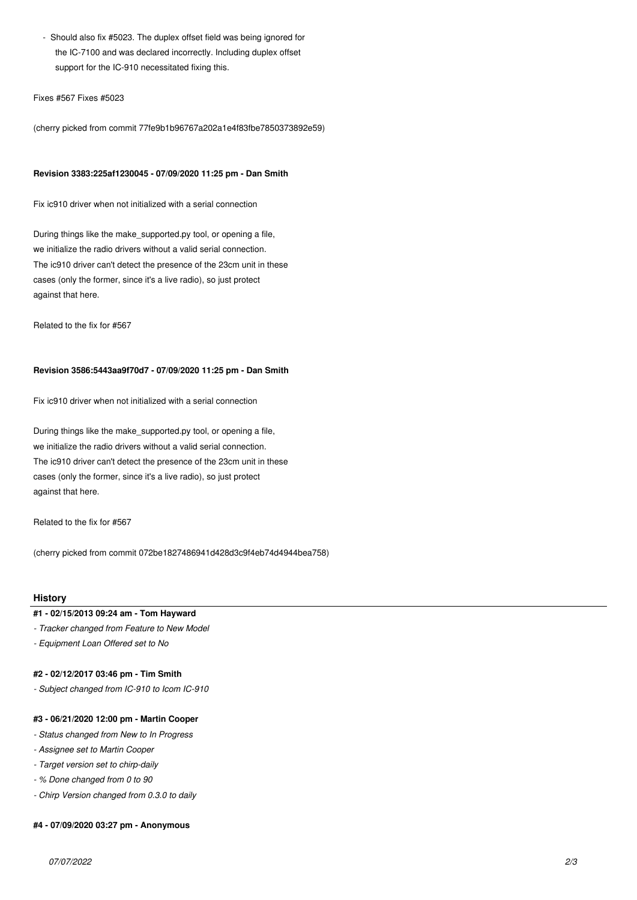*- Should also fix #5023. The duplex offset field was being ignored for the IC-7100 and was declared incorrectly. Including duplex offset support for the IC-910 necessitated fixing this.*

#### *Fixes #567 Fixes #5023*

*(cherry picked from commit 77fe9b1b96767a202a1e4f83fbe7850373892e59)*

#### **Revision 3383:225af1230045 - 07/09/2020 11:25 pm - Dan Smith**

*Fix ic910 driver when not initialized with a serial connection*

*During things like the make\_supported.py tool, or opening a file, we initialize the radio drivers without a valid serial connection. The ic910 driver can't detect the presence of the 23cm unit in these cases (only the former, since it's a live radio), so just protect against that here.*

*Related to the fix for #567*

## **Revision 3586:5443aa9f70d7 - 07/09/2020 11:25 pm - Dan Smith**

*Fix ic910 driver when not initialized with a serial connection*

*During things like the make\_supported.py tool, or opening a file, we initialize the radio drivers without a valid serial connection. The ic910 driver can't detect the presence of the 23cm unit in these cases (only the former, since it's a live radio), so just protect against that here.*

*Related to the fix for #567*

*(cherry picked from commit 072be1827486941d428d3c9f4eb74d4944bea758)*

#### **History**

# **#1 - 02/15/2013 09:24 am - Tom Hayward**

*- Tracker changed from Feature to New Model*

*- Equipment Loan Offered set to No*

#### **#2 - 02/12/2017 03:46 pm - Tim Smith**

*- Subject changed from IC-910 to Icom IC-910*

### **#3 - 06/21/2020 12:00 pm - Martin Cooper**

- *Status changed from New to In Progress*
- *Assignee set to Martin Cooper*
- *Target version set to chirp-daily*
- *% Done changed from 0 to 90*
- *Chirp Version changed from 0.3.0 to daily*

#### **#4 - 07/09/2020 03:27 pm - Anonymous**